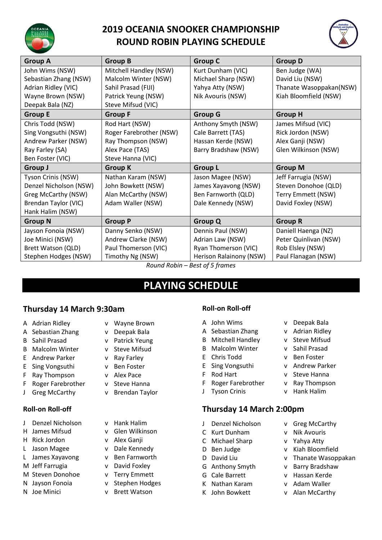

## **2019 OCEANIA SNOOKER CHAMPIONSHIP ROUND ROBIN PLAYING SCHEDULE**



| <b>Group A</b>         | <b>Group B</b>          | <b>Group C</b>          | <b>Group D</b>          |
|------------------------|-------------------------|-------------------------|-------------------------|
| John Wims (NSW)        | Mitchell Handley (NSW)  | Kurt Dunham (VIC)       | Ben Judge (WA)          |
| Sebastian Zhang (NSW)  | Malcolm Winter (NSW)    | Michael Sharp (NSW)     | David Liu (NSW)         |
| Adrian Ridley (VIC)    | Sahil Prasad (FIJI)     | Yahya Atty (NSW)        | Thanate Wasoppakan(NSW) |
| Wayne Brown (NSW)      | Patrick Yeung (NSW)     | Nik Avouris (NSW)       | Kiah Bloomfield (NSW)   |
| Deepak Bala (NZ)       | Steve Mifsud (VIC)      |                         |                         |
| <b>Group E</b>         | <b>Group F</b>          | <b>Group G</b>          | <b>Group H</b>          |
| Chris Todd (NSW)       | Rod Hart (NSW)          | Anthony Smyth (NSW)     | James Mifsud (VIC)      |
| Sing Vongsuthi (NSW)   | Roger Farebrother (NSW) | Cale Barrett (TAS)      | Rick Jordon (NSW)       |
| Andrew Parker (NSW)    | Ray Thompson (NSW)      | Hassan Kerde (NSW)      | Alex Ganji (NSW)        |
| Ray Farley (SA)        | Alex Pace (TAS)         | Barry Bradshaw (NSW)    | Glen Wilkinson (NSW)    |
| Ben Foster (VIC)       | Steve Hanna (VIC)       |                         |                         |
| Group J                | <b>Group K</b>          | <b>Group L</b>          | <b>Group M</b>          |
| Tyson Crinis (NSW)     | Nathan Karam (NSW)      | Jason Magee (NSW)       | Jeff Farrugia (NSW)     |
| Denzel Nicholson (NSW) | John Bowkett (NSW)      | James Xayavong (NSW)    | Steven Donohoe (QLD)    |
| Greg McCarthy (NSW)    | Alan McCarthy (NSW)     | Ben Farnworth (QLD)     | Terry Emmett (NSW)      |
| Brendan Taylor (VIC)   | Adam Waller (NSW)       | Dale Kennedy (NSW)      | David Foxley (NSW)      |
| Hank Halim (NSW)       |                         |                         |                         |
| <b>Group N</b>         | <b>Group P</b>          | <b>Group Q</b>          | <b>Group R</b>          |
| Jayson Fonoia (NSW)    | Danny Senko (NSW)       | Dennis Paul (NSW)       | Daniell Haenga (NZ)     |
| Joe Minici (NSW)       | Andrew Clarke (NSW)     | Adrian Law (NSW)        | Peter Quinlivan (NSW)   |
| Brett Watson (QLD)     | Paul Thomerson (VIC)    | Ryan Thomerson (VIC)    | Rob Elsley (NSW)        |
| Stephen Hodges (NSW)   | Timothy Ng (NSW)        | Herison Ralainony (NSW) | Paul Flanagan (NSW)     |

*Round Robin – Best of 5 frames*

## **PLAYING SCHEDULE**

### **Thursday 14 March 9:30am**

- A Adrian Ridley v Wayne Brown
- A Sebastian Zhang v Deepak Bala
- B Sahil Prasad v Patrick Yeung
- B Malcolm Winter v Steve Mifsud
- E Andrew Parker v Ray Farley
- E Sing Vongsuthi v Ben Foster
- F Ray Thompson v Alex Pace
- F Roger Farebrother v Steve Hanna
- 

#### **Roll-on Roll-off**

- J Denzel Nicholson v Hank Halim
- 
- H Rick Jordon v Alex Ganji
- L Jason Magee v Dale Kennedy
- L James Xayavong v Ben Farnworth
- M Jeff Farrugia v David Foxley
- M Steven Donohoe v Terry Emmett
- N Jayson Fonoia v Stephen Hodges
- 
- 
- 
- 
- 
- 
- 
- 
- 
- J Greg McCarthy v Brendan Taylor
	-
- H James Mifsud v Glen Wilkinson
	-
	-
	-
	-
	-
	-
- N Joe Minici v Brett Watson

### **Roll-on Roll-off**

- A John Wims v Deepak Bala
- A Sebastian Zhang v Adrian Ridley
- B Mitchell Handley v Steve Mifsud
- B Malcolm Winter v Sahil Prasad
- 
- 
- 
- 
- 

### **Thursday 14 March 2:00pm**

- 
- 
- 
- 
- 
- 
- 
- K Nathan Karam v Adam Waller
- 
- J Denzel Nicholson v Greg McCarthy
- C Kurt Dunham v Nik Avouris
- C Michael Sharp v Yahya Atty
- D Ben Judge v Kiah Bloomfield
- D David Liu v Thanate Wasoppakan
- G Anthony Smyth v Barry Bradshaw
- G Cale Barrett v Hassan Kerde
	-
- K John Bowkett v Alan McCarthy
- E Chris Todd v Ben Foster
- 
- 
- -
- E Sing Vongsuthi v Andrew Parker
	-
	-
	-
- 
- -
	-
	- J Tyson Crinis v Hank Halim

# F Rod Hart v Steve Hanna

- -
- 
- 

# F Roger Farebrother v Ray Thompson